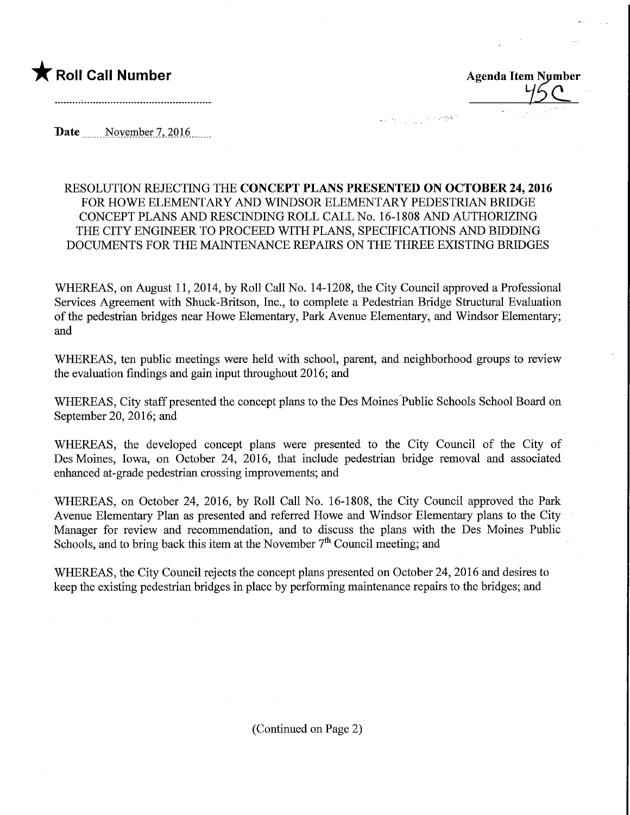

 $\frac{1}{2}$ 

Date November 7, 2016

## RESOLUTION REJECTING THE CONCEPT PLANS PRESENTED ON OCTOBER 24,2016 FOR HOWE ELEMENTARY AND WINDSOR ELEMENTARY PEDESTRIAN BRIDGE CONCEPT PLANS AND RESCINDING ROLL CALL No. 16-1808 AND AUTHORIZING THE CITY ENGINEER TO PROCEED WITH PLANS, SPECIFICATIONS AND BIDDING DOCUMENTS FOR THE MAINTENANCE REPAIRS ON THE THREE EXISTING BRIDGES

WHEREAS, on August 11, 2014, by Roll Call No. 14-1208, the City Council approved a Professional Services Agreement with Shuck-Britson, Inc., to complete a Pedestrian Bridge Structural Evaluation of the pedestrian bridges near Howe Elementary, Park Avenue Elementary, and Windsor Elementary; and

WHEREAS, ten public meetings were held with school, parent, and neighborhood groups to review the evaluation findings and gain input throughout 2016; and

WHEREAS, City staff presented the concept plans to the Des Moines Public Schools School Board on September 20, 2016; and

WHEREAS, the developed concept plans were presented to the City Council of the City of Des Moines, Iowa, on October 24, 2016, that include pedestrian bridge removal and associated enhanced at-grade pedestrian crossing improvements; and

WHEREAS, on October 24, 2016, by Roll Call No. 16-1808, the City Council approved the Park Avenue Elementary Plan as presented and referred Howe and Windsor Elementary plans to the City Manager for review and recommendation, and to discuss the plans with the Des Moines Public Schools, and to bring back this item at the November  $7<sup>th</sup>$  Council meeting; and

WHEREAS, the City Council rejects the concept plans presented on October 24, 2016 and desires to keep the existing pedestrian bridges in place by performing maintenance repairs to the bridges; and